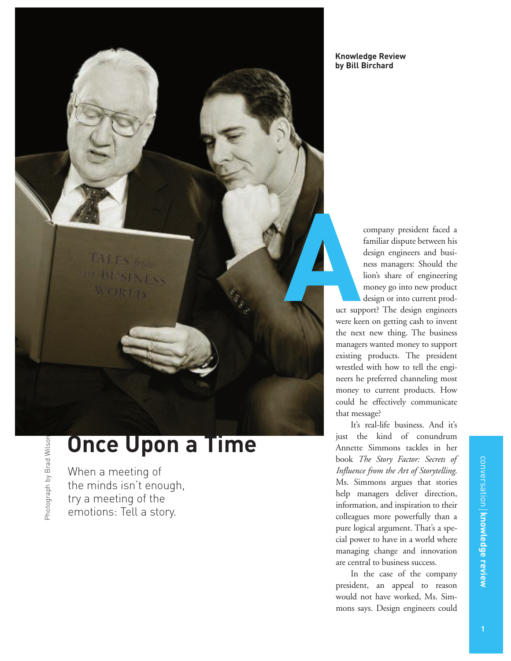**TALES** from **BUSINESS** WORTH

## **Once Upon a Time**

When a meeting of the minds isn't enough, try a meeting of the emotions: Tell a story.

Photograph by Brad Wilson

Photograph by Brad Wilson

company president faced a familiar dispute between his design engineers and business managers: Should the lion's share of engineering money go into new product design or into current prod-

uct support? The design engineers were keen on getting cash to invent the next new thing. The business managers wanted money to support existing products. The president wrestled with how to tell the engineers he preferred channeling most money to current products. How could he effectively communicate that message? **A**

It's real-life business. And it's just the kind of conundrum Annette Simmons tackles in her book *The Story Factor: Secrets of Influence from the Art of Storytelling*. Ms. Simmons argues that stories help managers deliver direction, information, and inspiration to their colleagues more powerfully than a pure logical argument. That's a special power to have in a world where managing change and innovation are central to business success.

In the case of the company president, an appeal to reason would not have worked, Ms. Simmons says. Design engineers could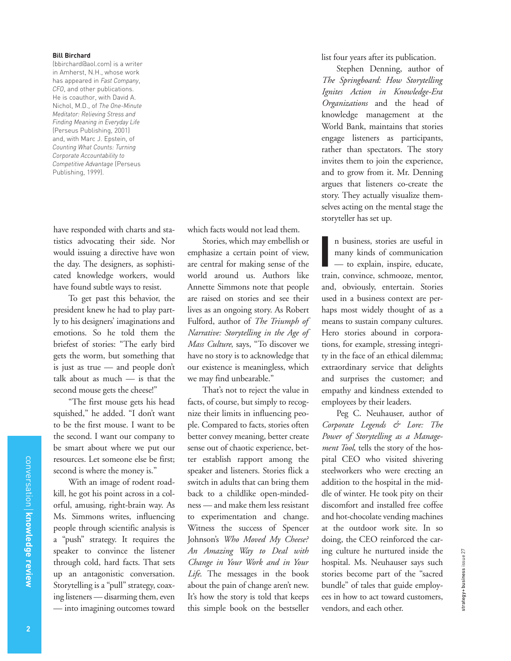## **Bill Birchard**

(bbirchard@aol.com) is a writer in Amherst, N.H., whose work has appeared in *Fast Company*, *CFO*, and other publications. He is coauthor, with David A. Nichol, M.D., of *The One-Minute Meditator: Relieving Stress and Finding Meaning in Everyday Life* (Perseus Publishing, 2001) and, with Marc J. Epstein, of *Counting What Counts: Turning Corporate Accountability to Competitive Advantage* (Perseus Publishing, 1999).

have responded with charts and statistics advocating their side. Nor would issuing a directive have won the day. The designers, as sophisticated knowledge workers, would have found subtle ways to resist.

To get past this behavior, the president knew he had to play partly to his designers' imaginations and emotions. So he told them the briefest of stories: "The early bird gets the worm, but something that is just as true — and people don't talk about as much — is that the second mouse gets the cheese!"

"The first mouse gets his head squished," he added. "I don't want to be the first mouse. I want to be the second. I want our company to be smart about where we put our resources. Let someone else be first; second is where the money is."

With an image of rodent roadkill, he got his point across in a colorful, amusing, right-brain way. As Ms. Simmons writes, influencing people through scientific analysis is a "push" strategy. It requires the speaker to convince the listener through cold, hard facts. That sets up an antagonistic conversation. Storytelling is a "pull" strategy, coaxing listeners — disarming them, even — into imagining outcomes toward which facts would not lead them.

Stories, which may embellish or emphasize a certain point of view, are central for making sense of the world around us. Authors like Annette Simmons note that people are raised on stories and see their lives as an ongoing story. As Robert Fulford, author of *The Triumph of Narrative: Storytelling in the Age of Mass Culture*, says, "To discover we have no story is to acknowledge that our existence is meaningless, which we may find unbearable."

That's not to reject the value in facts, of course, but simply to recognize their limits in influencing people. Compared to facts, stories often better convey meaning, better create sense out of chaotic experience, better establish rapport among the speaker and listeners. Stories flick a switch in adults that can bring them back to a childlike open-mindedness — and make them less resistant to experimentation and change. Witness the success of Spencer Johnson's *Who Moved My Cheese? An Amazing Way to Deal with Change in Your Work and in Your Life*. The messages in the book about the pain of change aren't new. It's how the story is told that keeps this simple book on the bestseller

list four years after its publication.

Stephen Denning, author of *The Springboard: How Storytelling Ignites Action in Knowledge-Era Organizations* and the head of knowledge management at the World Bank, maintains that stories engage listeners as participants, rather than spectators. The story invites them to join the experience, and to grow from it. Mr. Denning argues that listeners co-create the story. They actually visualize themselves acting on the mental stage the storyteller has set up.

n business, stories are useful in many kinds of communication — to explain, inspire, educate, n business, stories are useful in<br>
many kinds of communication<br>
— to explain, inspire, educate,<br>
train, convince, schmooze, mentor, and, obviously, entertain. Stories used in a business context are perhaps most widely thought of as a means to sustain company cultures. Hero stories abound in corporations, for example, stressing integrity in the face of an ethical dilemma; extraordinary service that delights and surprises the customer; and empathy and kindness extended to employees by their leaders.

Peg C. Neuhauser, author of *Corporate Legends & Lore: The Power of Storytelling as a Management Tool*, tells the story of the hospital CEO who visited shivering steelworkers who were erecting an addition to the hospital in the middle of winter. He took pity on their discomfort and installed free coffee and hot-chocolate vending machines at the outdoor work site. In so doing, the CEO reinforced the caring culture he nurtured inside the hospital. Ms. Neuhauser says such stories become part of the "sacred bundle" of tales that guide employees in how to act toward customers, vendors, and each other.

strategy + business issue 27

strategy+business issue 27

conversation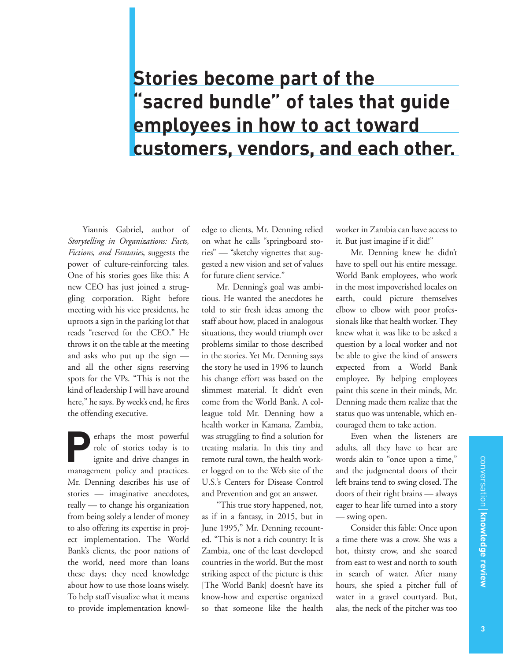## **Stories become part of the "sacred bundle" of tales that guide employees in how to act toward customers, vendors, and each other.**

Yiannis Gabriel, author of *Storytelling in Organizations: Facts, Fictions, and Fantasies*, suggests the power of culture-reinforcing tales. One of his stories goes like this: A new CEO has just joined a struggling corporation. Right before meeting with his vice presidents, he uproots a sign in the parking lot that reads "reserved for the CEO." He throws it on the table at the meeting and asks who put up the sign and all the other signs reserving spots for the VPs. "This is not the kind of leadership I will have around here," he says. By week's end, he fires the offending executive.

erhaps the most powerful role of stories today is to ignite and drive changes in erhaps the most powerful<br>role of stories today is to<br>ignite and drive changes in<br>management policy and practices. Mr. Denning describes his use of stories — imaginative anecdotes, really — to change his organization from being solely a lender of money to also offering its expertise in project implementation. The World Bank's clients, the poor nations of the world, need more than loans these days; they need knowledge about how to use those loans wisely. To help staff visualize what it means to provide implementation knowledge to clients, Mr. Denning relied on what he calls "springboard stories" — "sketchy vignettes that suggested a new vision and set of values for future client service."

Mr. Denning's goal was ambitious. He wanted the anecdotes he told to stir fresh ideas among the staff about how, placed in analogous situations, they would triumph over problems similar to those described in the stories. Yet Mr. Denning says the story he used in 1996 to launch his change effort was based on the slimmest material. It didn't even come from the World Bank. A colleague told Mr. Denning how a health worker in Kamana, Zambia, was struggling to find a solution for treating malaria. In this tiny and remote rural town, the health worker logged on to the Web site of the U.S.'s Centers for Disease Control and Prevention and got an answer.

"This true story happened, not, as if in a fantasy, in 2015, but in June 1995," Mr. Denning recounted. "This is not a rich country: It is Zambia, one of the least developed countries in the world. But the most striking aspect of the picture is this: [The World Bank] doesn't have its know-how and expertise organized so that someone like the health

worker in Zambia can have access to it. But just imagine if it did!"

Mr. Denning knew he didn't have to spell out his entire message. World Bank employees, who work in the most impoverished locales on earth, could picture themselves elbow to elbow with poor professionals like that health worker. They knew what it was like to be asked a question by a local worker and not be able to give the kind of answers expected from a World Bank employee. By helping employees paint this scene in their minds, Mr. Denning made them realize that the status quo was untenable, which encouraged them to take action.

Even when the listeners are adults, all they have to hear are words akin to "once upon a time," and the judgmental doors of their left brains tend to swing closed. The doors of their right brains — always eager to hear life turned into a story — swing open.

Consider this fable: Once upon a time there was a crow. She was a hot, thirsty crow, and she soared from east to west and north to south in search of water. After many hours, she spied a pitcher full of water in a gravel courtyard. But, alas, the neck of the pitcher was too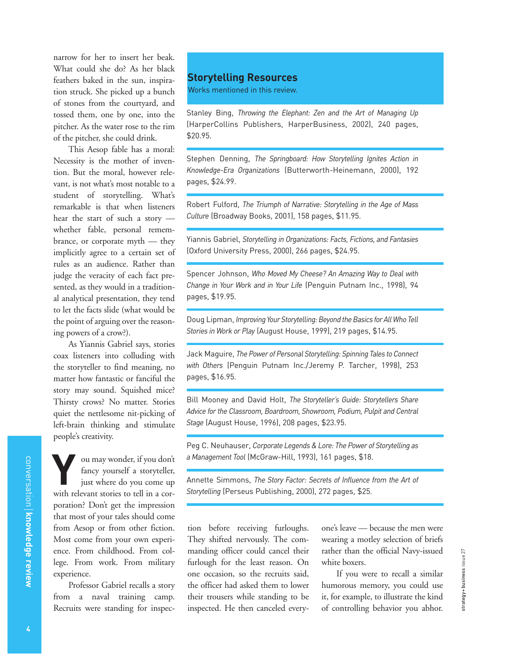narrow for her to insert her beak. What could she do? As her black feathers baked in the sun, inspiration struck. She picked up a bunch of stones from the courtyard, and tossed them, one by one, into the pitcher. As the water rose to the rim of the pitcher, she could drink.

This Aesop fable has a moral: Necessity is the mother of invention. But the moral, however relevant, is not what's most notable to a student of storytelling. What's remarkable is that when listeners hear the start of such a story whether fable, personal remembrance, or corporate myth — they implicitly agree to a certain set of rules as an audience. Rather than judge the veracity of each fact presented, as they would in a traditional analytical presentation, they tend to let the facts slide (what would be the point of arguing over the reasoning powers of a crow?).

As Yiannis Gabriel says, stories coax listeners into colluding with the storyteller to find meaning, no matter how fantastic or fanciful the story may sound. Squished mice? Thirsty crows? No matter. Stories quiet the nettlesome nit-picking of left-brain thinking and stimulate people's creativity.

ou may wonder, if you don't fancy yourself a storyteller, just where do you come up with relevant stories to tell in a corporation? Don't get the impression that most of your tales should come from Aesop or from other fiction. Most come from your own experience. From childhood. From college. From work. From military experience.

Professor Gabriel recalls a story from a naval training camp. Recruits were standing for inspec-

## **Storytelling Resources**

Works mentioned in this review.

Stanley Bing, *Throwing the Elephant: Zen and the Art of Managing Up* (HarperCollins Publishers, HarperBusiness, 2002), 240 pages, \$20.95.

Stephen Denning, *The Springboard: How Storytelling Ignites Action in Knowledge-Era Organizations* (Butterworth-Heinemann, 2000), 192 pages, \$24.99.

Robert Fulford, *The Triumph of Narrative: Storytelling in the Age of Mass Culture* (Broadway Books, 2001), 158 pages, \$11.95.

Yiannis Gabriel, *Storytelling in Organizations: Facts, Fictions, and Fantasies* (Oxford University Press, 2000), 266 pages, \$24.95.

Spencer Johnson, *Who Moved My Cheese? An Amazing Way to Deal with Change in Your Work and in Your Life* (Penguin Putnam Inc., 1998), 94 pages, \$19.95.

Doug Lipman, *Improving Your Storytelling: Beyond the Basics for All Who Tell Stories in Work or Play* (August House, 1999), 219 pages, \$14.95.

Jack Maguire, *The Power of Personal Storytelling: Spinning Tales to Connect with Others* (Penguin Putnam Inc./Jeremy P. Tarcher, 1998), 253 pages, \$16.95.

Bill Mooney and David Holt, *The Storyteller's Guide: Storytellers Share Advice for the Classroom, Boardroom, Showroom, Podium, Pulpit and Central Stage* (August House, 1996), 208 pages, \$23.95.

Peg C. Neuhauser, *Corporate Legends & Lore: The Power of Storytelling as a Management Tool* (McGraw-Hill, 1993), 161 pages, \$18.

Annette Simmons, *The Story Factor: Secrets of Influence from the Art of Storytelling* (Perseus Publishing, 2000), 272 pages, \$25.

tion before receiving furloughs. They shifted nervously. The commanding officer could cancel their furlough for the least reason. On one occasion, so the recruits said, the officer had asked them to lower their trousers while standing to be inspected. He then canceled everyone's leave — because the men were wearing a motley selection of briefs rather than the official Navy-issued white boxers.

If you were to recall a similar humorous memory, you could use it, for example, to illustrate the kind of controlling behavior you abhor.

conversation

**knowledge review**

conversation | knowledge review